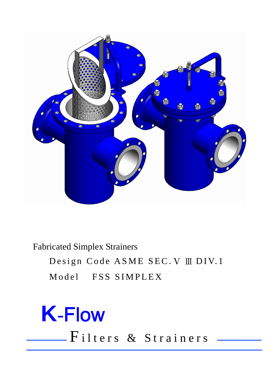

**Fabricated Simplex Strainers** 

Design Code ASME SEC. V III DIV.1 Model FSS SIMPLEX

## **K-Flow** -Filters & Strainers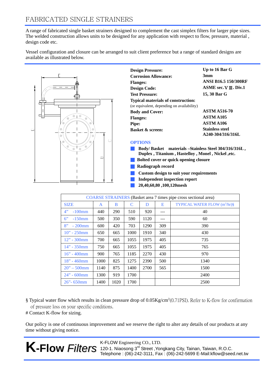A range of fabricated single basket strainers designed to complement the cast simplex filters for larger pipe sizes. The welded construction allows units to be designed for any application with respect to flow, pressure, material , design code etc.

Vessel configuration and closure can be arranged to suit client preference but a range of standard designs are available as illustrated below.



| <b>Design Pressure:</b>                    | Up to 16 Bar G                              |  |  |  |
|--------------------------------------------|---------------------------------------------|--|--|--|
| <b>Corrosion Allowance:</b>                | 3mm                                         |  |  |  |
| <b>Flanges:</b>                            | <b>ANSI B16.5 150/300RF</b>                 |  |  |  |
| <b>Design Code:</b>                        | $ASME$ sec. $V$ $III$ . Div. 1              |  |  |  |
| <b>Test Pressure:</b>                      | 15, 30 Bar G                                |  |  |  |
| <b>Typical materials of construction:</b>  |                                             |  |  |  |
| (or equivalent, depending on availability) |                                             |  |  |  |
| <b>Body and Cover:</b>                     | <b>ASTM A516-70</b>                         |  |  |  |
| <b>Flanges:</b>                            | <b>ASTM A105</b>                            |  |  |  |
| <b>Pipe:</b>                               | ASTM A106                                   |  |  |  |
| <b>Basket &amp; screen:</b>                | <b>Stainless steel</b><br>A240-304/316/316L |  |  |  |

## **OPTIONS**

- **Body/ Basket materials –Stainless Steel 304/316/316L , Duplex , Titanium , Hastelloy , Monel , Nickel ,etc.**
- **Bolted cover or quick opening closure**
- **Radiograph record**
- **Custom design to suit your requirements**
- **Independent inspection report**
- **20,40,60,80 ,100,120mesh**

| COARSE STRAINERS (Basket area 7 times pipe cross sectional area) |      |             |      |      |     |                                          |  |  |  |  |
|------------------------------------------------------------------|------|-------------|------|------|-----|------------------------------------------|--|--|--|--|
| <b>SIZE</b>                                                      | A    | B           | C    | D    | E   | TYPICAL WATER FLOW (m <sup>3</sup> /hr)§ |  |  |  |  |
| 4"<br>$-100$ mm                                                  | 440  | 290         | 510  | 920  |     | 40                                       |  |  |  |  |
| 6"<br>$-150$ mm                                                  | 500  | 350         | 590  | 1120 |     | 60                                       |  |  |  |  |
| 8"<br>$-200$ mm                                                  | 600  | 420         | 703  | 1290 | 309 | 390                                      |  |  |  |  |
| $10" - 250$ mm                                                   | 650  | 665         | 1000 | 1910 | 340 | 430                                      |  |  |  |  |
| $12" - 300$ mm                                                   | 700  | 665         | 1055 | 1975 | 405 | 735                                      |  |  |  |  |
| $14" - 350$ mm                                                   | 750  | 665         | 1055 | 1975 | 405 | 765                                      |  |  |  |  |
| $16'' - 400$ mm                                                  | 900  | 765         | 1185 | 2270 | 430 | 970                                      |  |  |  |  |
| $18" - 460$ mm                                                   | 1000 | 825         | 1275 | 2390 | 500 | 1340                                     |  |  |  |  |
| $20" - 500$ mm                                                   | 1140 | 875         | 1400 | 2700 | 565 | 1500                                     |  |  |  |  |
| $24" - 600$ mm                                                   | 1300 | 919<br>1700 |      |      |     | 2400                                     |  |  |  |  |
| $26$ " - 650mm                                                   | 1400 | 1020        | 1700 |      |     | 2500                                     |  |  |  |  |

§ Typical water flow which results in clean pressure drop of 0.05Kg/cm²(0.71PSI). Refer to K-flow for confirmation of pressure loss on your specific conditions.

# Contact K-flow for sizing.

Our policy is one of continuous improvement and we reserve the right to alter any details of our products at any time without giving notice.



K-FLOW Engineering CO., LTD. 120-1. Niaosong 3<sup>rd</sup> Street, Yongkang City, Tainan, Taiwan, R.O.C. Telephone : (06)-242-3111, Fax : (06)-242-5699 E-Mail:kflow@seed.net.tw